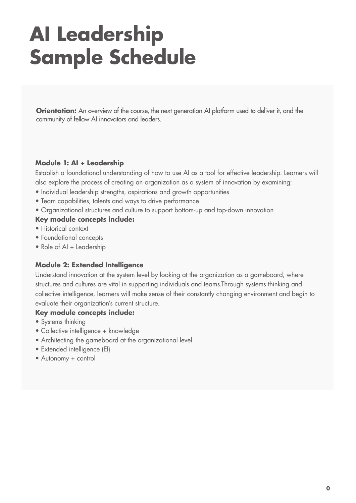# **AI Leadership Sample Schedule**

**Orientation:** An overview of the course, the next-generation AI platform used to deliver it, and the community of fellow AI innovators and leaders.

## **Module 1: AI + Leadership**

Establish a foundational understanding of how to use AI as a tool for effective leadership. Learners will also explore the process of creating an organization as a system of innovation by examining:

- Individual leadership strengths, aspirations and growth opportunities
- Team capabilities, talents and ways to drive performance
- Organizational structures and culture to support bottom-up and top-down innovation

#### **Key module concepts include:**

- Historical context
- Foundational concepts
- Role of AI + Leadership

## **Module 2: Extended Intelligence**

Understand innovation at the system level by looking at the organization as a gameboard, where structures and cultures are vital in supporting individuals and teams.Through systems thinking and collective intelligence, learners will make sense of their constantly changing environment and begin to evaluate their organization's current structure.

#### **Key module concepts include:**

- Systems thinking
- Collective intelligence + knowledge
- Architecting the gameboard at the organizational level
- Extended intelligence (EI)
- Autonomy + control